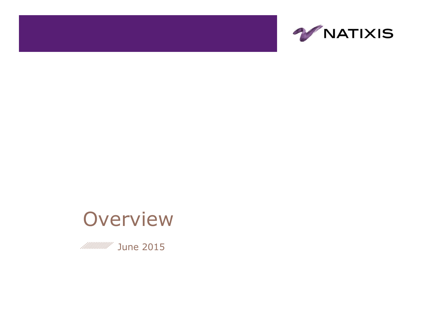





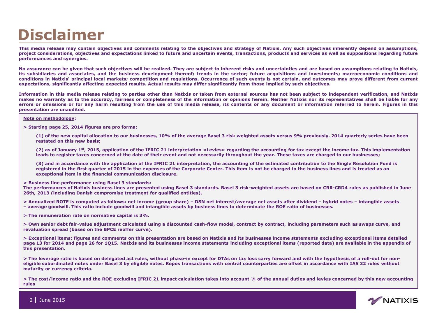# **Disclaimer**

This media release may contain objectives and comments relating to the objectives and strategy of Natixis. Any such objectives inherently depend on assumptions, project considerations, objectives and expectations linked to future and uncertain events, transactions, products and services as well as suppositions regarding future **performances and synergies.**

No assurance can be given that such objectives will be realized. They are subject to inherent risks and uncertainties and are based on assumptions relating to Natixis, its subsidiaries and associates, and the business development thereof; trends in the sector; future acquisitions and investments; macroeconomic conditions and conditions in Natixis' principal local markets; competition and regulations. Occurrence of such events is not certain, and outcomes may prove different from current expectations, significantly affecting expected results. Actual results may differ significantly from those implied by such objectives.

Information in this media release relating to parties other than Natixis or taken from external sources has not been subject to independent verification, and Natixis makes no warranty as to the accuracy, fairness or completeness of the information or opinions herein. Neither Natixis nor its representatives shall be liable for any errors or omissions or for any harm resulting from the use of this media release, its contents or any document or information referred to herein. Figures in this **presentation are unaudited.**

#### **Note on methodology:**

**> Starting page 25, 2014 figures are pro forma:**

**(1) of the new capital allocation to our businesses, 10% of the average Basel 3 risk weighted assets versus 9% previously. 2014 quarterly series have been restated on this new basis;**

**(2) as of January 1st, 2015, application of the IFRIC 21 interpretation «Levies» regarding the accounting for tax except the income tax. This implementation leads to register taxes concerned at the date of their event and not necessarily throughout the year. These taxes are charged to our businesses;**

**(3) and in accordance with the application of the IFRIC 21 interpretation, the accounting of the estimated contribution to the Single Resolution Fund is registered in the first quarter of 2015 in the expenses of the Corporate Center. This item is not be charged to the business lines and is treated as an exceptional item in the financial communication disclosure.**

#### **> Business line performance using Basel 3 standards:**

**The performances of Natixis business lines are presented using Basel 3 standards. Basel 3 risk-weighted assets are based on CRR-CRD4 rules as published in June 26th, 2013 (including Danish compromise treatment for qualified entities).**

**> Annualized ROTE is computed as follows: net income (group share) – DSN net interest/average net assets after dividend – hybrid notes – intangible assets – average goodwill. This ratio include goodwill and intangible assets by business lines to determinate the ROE ratio of businesses.** 

**> The remuneration rate on normative capital is 3%.**

**> Own senior debt fair-value adjustment calculated using a discounted cash-flow model, contract by contract, including parameters such as swaps curve, and revaluation spread (based on the BPCE reoffer curve).**

**> Exceptional items: figures and comments on this presentation are based on Natixis and its businesses income statements excluding exceptional items detailed page 13 for 2014 and page 26 for 1Q15. Natixis and its businesses income statements including exceptional items (reported data) are available in the appendix of this presentation.**

**> The leverage ratio is based on delegated act rules, without phase-in except for DTAs on tax loss carry forward and with the hypothesis of a roll-out for noneligible subordinated notes under Basel 3 by eligible notes. Repos transactions with central counterparties are offset in accordance with IAS 32 rules without maturity or currency criteria.**

**> The cost/income ratio and the ROE excluding IFRIC 21 impact calculation takes into account ¼ of the annual duties and levies concerned by this new accounting rules**

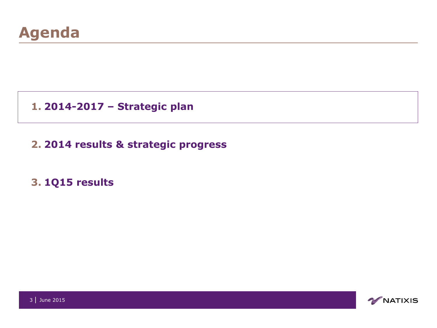- **1. 2014-2017 – Strategic plan**
- **2. 2014 results & strategic progress**
- **3. 1Q15 results**

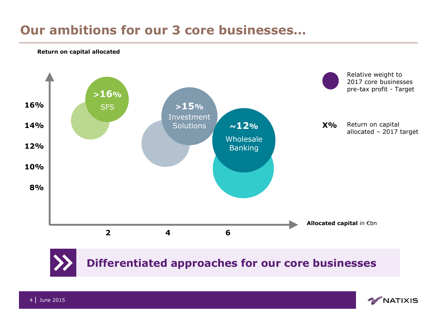## **Our ambitions for our 3 core businesses…**

#### **Return on capital allocated**



**Differentiated approaches for our core businesses** 

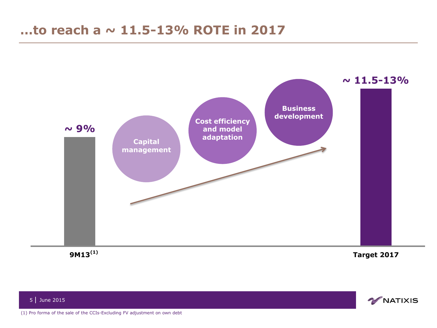## **…to reach a ~ 11.5-13% ROTE in 2017**



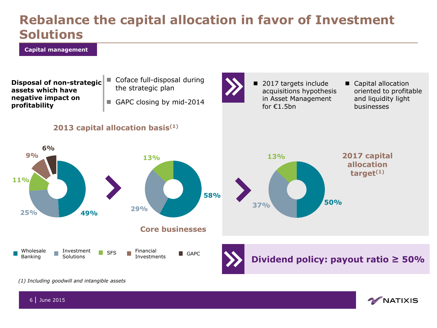## **Rebalance the capital allocation in favor of Investment Solutions**

**58%**

#### **Capital management**

**Disposal of non-strategic assets which have negative impact on profitability**

**25% 49%**

Wholesale Investment

**11%**

**9%**

Banking

**6%**

- Coface full-disposal during the strategic plan
- GAPC closing by mid-2014

**13%**

**Core businesses**

**29%**

Financial **Investments** GAPC





- 2017 targets include acquisitions hypothesis in Asset Management for  $£1.5$ bn
- Capital allocation oriented to profitable and liquidity light businesses



**Dividend policy: payout ratio ≥ 50%**

*(1) Including goodwill and intangible assets*

Solutions

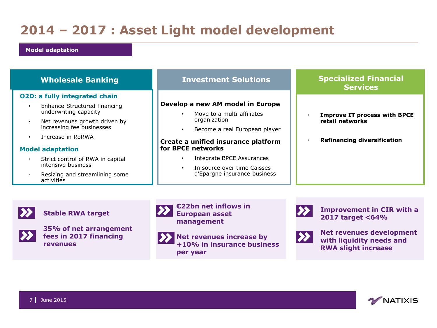## **2014 – 2017 : Asset Light model development**

#### **Model adaptation**

| <b>O2D: a fully integrated chain</b><br>Develop a new AM model in Europe<br>Enhance Structured financing<br>underwriting capacity<br>Move to a multi-affiliates<br><b>Improve IT process with BPCE</b><br>organization<br>retail networks<br>Net revenues growth driven by<br>increasing fee businesses<br>Become a real European player<br>Increase in RoRWA<br>$\bullet$<br><b>Refinancing diversification</b><br>Create a unified insurance platform<br>for BPCE networks<br><b>Model adaptation</b><br>Integrate BPCE Assurances<br>Strict control of RWA in capital<br>intensive business<br>In source over time Caisses<br>d'Epargne insurance business<br>Resizing and streamlining some | <b>Wholesale Banking</b> | <b>Investment Solutions</b> | <b>Specialized Financial</b><br><b>Services</b> |
|-------------------------------------------------------------------------------------------------------------------------------------------------------------------------------------------------------------------------------------------------------------------------------------------------------------------------------------------------------------------------------------------------------------------------------------------------------------------------------------------------------------------------------------------------------------------------------------------------------------------------------------------------------------------------------------------------|--------------------------|-----------------------------|-------------------------------------------------|
|                                                                                                                                                                                                                                                                                                                                                                                                                                                                                                                                                                                                                                                                                                 | activities               |                             |                                                 |

### $\sum$

**Stable RWA target**



**35% of net arrangement fees in 2017 financing revenues** 



**€22bn net inflows in European asset management**

**Net revenues increase by +10% in insurance business per year**



**Improvement in CIR with a 2017 target <64%**



**Net revenues development with liquidity needs and RWA slight increase**

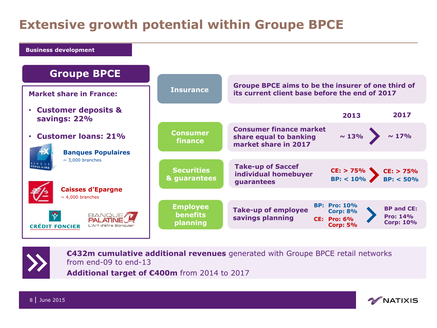## **Extensive growth potential within Groupe BPCE**

**Business development**



**€432m cumulative additional revenues** generated with Groupe BPCE retail networks from end-09 to end-13 **Additional target of €400m** from 2014 to 2017

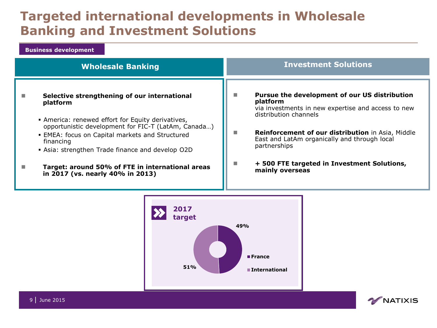## **Targeted international developments in Wholesale Banking and Investment Solutions**

#### **Business development**

| <b>Wholesale Banking</b>                                                                                                                                                                                                                                                                                                                                                                                  | <b>Investment Solutions</b>                                                                                                                                                                                                                                                                                                     |
|-----------------------------------------------------------------------------------------------------------------------------------------------------------------------------------------------------------------------------------------------------------------------------------------------------------------------------------------------------------------------------------------------------------|---------------------------------------------------------------------------------------------------------------------------------------------------------------------------------------------------------------------------------------------------------------------------------------------------------------------------------|
| Selective strengthening of our international<br><b>Tall</b><br>platform<br>• America: renewed effort for Equity derivatives,<br>opportunistic development for FIC-T (LatAm, Canada)<br>• EMEA: focus on Capital markets and Structured<br>financing<br>• Asia: strengthen Trade finance and develop O2D<br>Target: around 50% of FTE in international areas<br>$\sim$<br>in 2017 (vs. nearly 40% in 2013) | Pursue the development of our US distribution<br>platform<br>via investments in new expertise and access to new<br>distribution channels<br>Reinforcement of our distribution in Asia, Middle<br>East and LatAm organically and through local<br>partnerships<br>+ 500 FTE targeted in Investment Solutions,<br>mainly overseas |



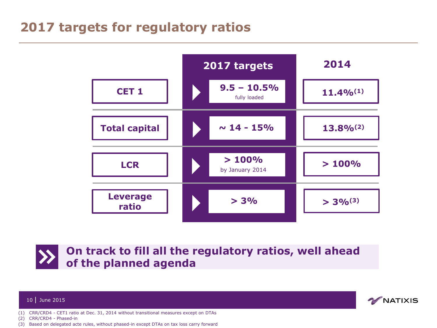### **2017 targets for regulatory ratios**







- (1) CRR/CRD4 CET1 ratio at Dec. 31, 2014 without transitional measures except on DTAs
- (2) CRR/CRD4 Phased-in
- (3) Based on delegated acte rules, without phased-in except DTAs on tax loss carry forward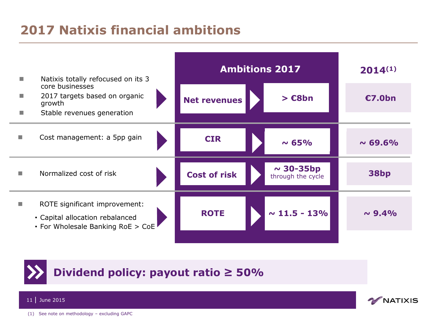## **2017 Natixis financial ambitions**

| <b>COL</b>           | Natixis totally refocused on its 3                                                                    | <b>Ambitions 2017</b> | $2014^{(1)}$                        |                  |
|----------------------|-------------------------------------------------------------------------------------------------------|-----------------------|-------------------------------------|------------------|
| <b>COL</b><br>$\sim$ | core businesses<br>2017 targets based on organic<br>growth<br>Stable revenues generation              | <b>Net revenues</b>   | $\geq$ E8bn                         | <b>€7.0bn</b>    |
|                      | Cost management: a 5pp gain                                                                           | <b>CIR</b>            | $\sim 65\%$                         | $\sim 69.6\%$    |
|                      | Normalized cost of risk                                                                               | <b>Cost of risk</b>   | $\sim$ 30-35bp<br>through the cycle | 38 <sub>bp</sub> |
|                      | ROTE significant improvement:<br>• Capital allocation rebalanced<br>• For Wholesale Banking RoE > CoE | <b>ROTE</b>           | $\sim$ 11.5 - 13%                   | $\sim 9.4\%$     |



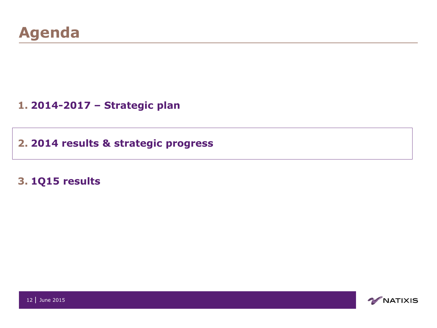**1. 2014-2017 – Strategic plan**

**2. 2014 results & strategic progress**

### **3. 1Q15 results**

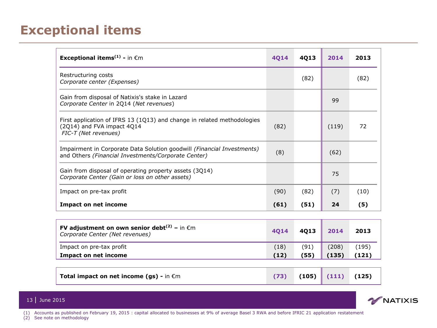## **Exceptional items**

| <b>Exceptional items</b> <sup>(1)</sup> - in $\epsilon$ m                                                                     | <b>4Q14</b>  | 4Q13         | 2014           | 2013           |
|-------------------------------------------------------------------------------------------------------------------------------|--------------|--------------|----------------|----------------|
| Restructuring costs<br>Corporate center (Expenses)                                                                            |              | (82)         |                | (82)           |
| Gain from disposal of Natixis's stake in Lazard<br>Corporate Center in 2014 (Net revenues)                                    |              |              | 99             |                |
| First application of IFRS 13 (1Q13) and change in related methodologies<br>(2Q14) and FVA impact 4Q14<br>FIC-T (Net revenues) | (82)         |              | (119)          | 72             |
| Impairment in Corporate Data Solution goodwill (Financial Investments)<br>and Others (Financial Investments/Corporate Center) | (8)          |              | (62)           |                |
| Gain from disposal of operating property assets (3Q14)<br>Corporate Center (Gain or loss on other assets)                     |              |              | 75             |                |
| Impact on pre-tax profit                                                                                                      | (90)         | (82)         | (7)            | (10)           |
| <b>Impact on net income</b>                                                                                                   | (61)         | (51)         | 24             | (5)            |
|                                                                                                                               |              |              |                |                |
| FV adjustment on own senior debt <sup>(2)</sup> – in $\epsilon$ m<br>Corporate Center (Net revenues)                          | 4Q14         | 4Q13         | 2014           | 2013           |
| Impact on pre-tax profit<br><b>Impact on net income</b>                                                                       | (18)<br>(12) | (91)<br>(55) | (208)<br>(135) | (195)<br>(121) |

| Total impact on net income (gs) - in $\epsilon$ m |  |  | $(73)$ $(105)$ $(111)$ $(125)$ |  |  |
|---------------------------------------------------|--|--|--------------------------------|--|--|
|---------------------------------------------------|--|--|--------------------------------|--|--|

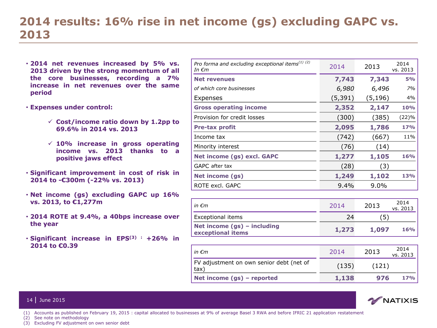### **2014 results: 16% rise in net income (gs) excluding GAPC vs. 2013**

- **2014 net revenues increased by 5% vs. 2013 driven by the strong momentum of all the core businesses, recording a 7% increase in net revenues over the same period**
- **Expenses under control:**
	- **Cost/income ratio down by 1.2pp to 69.6% in 2014 vs. 2013**
	- **10% increase in gross operating income vs. 2013 thanks to a positive jaws effect**
- **Significant improvement in cost of risk in 2014 to -€300m (-22% vs. 2013)**
- **Net income (gs) excluding GAPC up 16% vs. 2013, to €1,277m**
- **2014 ROTE at 9.4%, a 40bps increase over the year**
- **Significant increase in EPS(3) : +26% in 2014 to €0.39**

| Pro forma and excluding exceptional items <sup>(1)</sup> (2)<br>In $\epsilon$ m | 2014        | 2013     | 2014<br>vs. 2013 |
|---------------------------------------------------------------------------------|-------------|----------|------------------|
| <b>Net revenues</b>                                                             | 7,743       | 7,343    | 5%               |
| of which core businesses                                                        | 6,980       | 6,496    | 7%               |
| Expenses                                                                        | (5, 391)    | (5, 196) | 4%               |
| <b>Gross operating income</b>                                                   | 2,352       | 2,147    | <b>10%</b>       |
| Provision for credit losses                                                     | (300)       | (385)    | (22)%            |
| <b>Pre-tax profit</b>                                                           | 2,095       | 1,786    | <b>17%</b>       |
| Income tax                                                                      | (742)       | (667)    | 11%              |
| Minority interest                                                               | (76)        | (14)     |                  |
| <b>Net income (gs) excl. GAPC</b>                                               | 1,277       | 1,105    | 16%              |
| GAPC after tax                                                                  | (28)        | (3)      |                  |
| Net income (gs)                                                                 | 1,249       | 1,102    | <b>13%</b>       |
| ROTE excl. GAPC                                                                 | 9.4%        | 9.0%     |                  |
|                                                                                 |             |          |                  |
| in $\epsilon$ m                                                                 | 2014        | 2013     | 2014<br>vs. 2013 |
| <b>Exceptional items</b>                                                        | 24          | (5)      |                  |
| Net income $(gs)$ - including<br>exceptional items                              | 1,273       | 1,097    | 16%              |
|                                                                                 |             |          |                  |
| $in$ $\epsilon$ m                                                               | <b>DO14</b> | วกาว     | 2014             |

| $\mathsf{I}$ in $\epsilon$ m                             | 2014  | 2013  | 2014<br>vs. 2013 |
|----------------------------------------------------------|-------|-------|------------------|
| FV adjustment on own senior debt (net of<br>$\vert$ tax) | (135) | (121) |                  |
| Net income $(gs)$ – reported                             | 1,138 | 976   | 17%              |

**A NATIXIS** 

#### 14 June 2015

(1) Accounts as published on February 19, 2015 : capital allocated to businesses at 9% of average Basel 3 RWA and before IFRIC 21 application restatement

(2) See note on methodology

(3) Excluding FV adjustment on own senior debt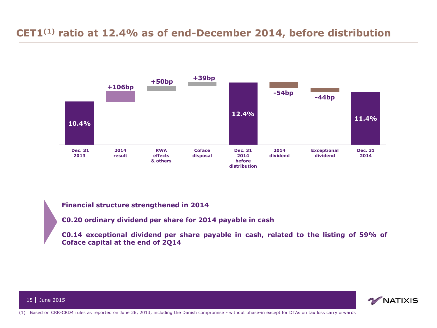### **CET1(1) ratio at 12.4% as of end-December 2014, before distribution**



**Financial structure strengthened in 2014**

**€0.20 ordinary dividend per share for 2014 payable in cash**

**€0.14 exceptional dividend per share payable in cash, related to the listing of 59% of Coface capital at the end of 2Q14**

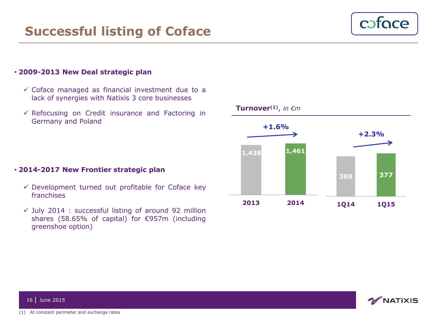16 June 2015

### **Successful listing of Coface**

#### • **2009-2013 New Deal strategic plan**

- $\checkmark$  Coface managed as financial investment due to a lack of synergies with Natixis 3 core businesses
- $\checkmark$  Refocusing on Credit insurance and Factoring in Germany and Poland

#### • **2014-2017 New Frontier strategic plan**

- $\checkmark$  Development turned out profitable for Coface key franchises
- $\checkmark$  July 2014 : successful listing of around 92 million shares (58.65% of capital) for €957m (including greenshoe option)





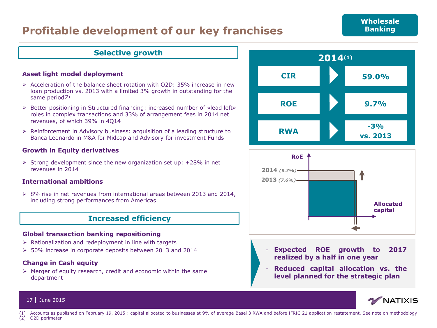### **Profitable development of our key franchises**

#### **Selective growth**

#### **Asset light model deployment**

- $\geq$  Acceleration of the balance sheet rotation with O2D: 35% increase in new loan production vs. 2013 with a limited 3% growth in outstanding for the same period $(2)$
- Better positioning in Structured financing: increased number of «lead left» roles in complex transactions and 33% of arrangement fees in 2014 net revenues, of which 39% in 4Q14
- $\triangleright$  Reinforcement in Advisory business: acquisition of a leading structure to Banca Leonardo in M&A for Midcap and Advisory for investment Funds

#### **Growth in Equity derivatives**

 $\geq$  Strong development since the new organization set up: +28% in net revenues in 2014

#### **International ambitions**

 $\geq$  8% rise in net revenues from international areas between 2013 and 2014, including strong performances from Americas

#### **Increased efficiency**

#### **Global transaction banking repositioning**

- $\triangleright$  Rationalization and redeployment in line with targets
- 50% increase in corporate deposits between 2013 and 2014

#### **Change in Cash equity**

 $\triangleright$  Merger of equity research, credit and economic within the same department





- **Expected ROE growth to 2017 realized by a half in one year**
- **Reduced capital allocation vs. the level planned for the strategic plan**



#### 17 June 2015

(1) Accounts as published on February 19, 2015 : capital allocated to businesses at 9% of average Basel 3 RWA and before IFRIC 21 application restatement. See note on methodology (2) O2D perimeter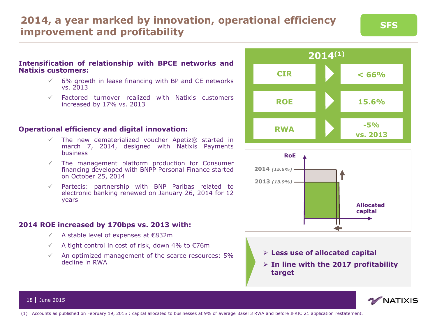### **2014, a year marked by innovation, operational efficiency**  *improvement and profitability SFS*

#### **Intensification of relationship with BPCE networks and Natixis customers:**

- $6%$  growth in lease financing with BP and CE networks vs. 2013
- $\checkmark$  Factored turnover realized with Natixis customers increased by 17% vs. 2013

#### **Operational efficiency and digital innovation:**

- $\checkmark$  The new dematerialized voucher Apetiz® started in march 7, 2014, designed with Natixis Payments business
- $\checkmark$  The management platform production for Consumer financing developed with BNPP Personal Finance started on October 25, 2014
- $\checkmark$  Partecis: partnership with BNP Paribas related to electronic banking renewed on January 26, 2014 for 12 years

#### **2014 ROE increased by 170bps vs. 2013 with:**

- $\checkmark$  A stable level of expenses at  $\epsilon$ 832m
- $\checkmark$  A tight control in cost of risk, down 4% to  $\check{\epsilon}$ 76m
- $\checkmark$  An optimized management of the scarce resources: 5% decline in RWA



![](_page_17_Figure_13.jpeg)

- **Less use of allocated capital**
- **In line with the 2017 profitability target**

![](_page_17_Picture_16.jpeg)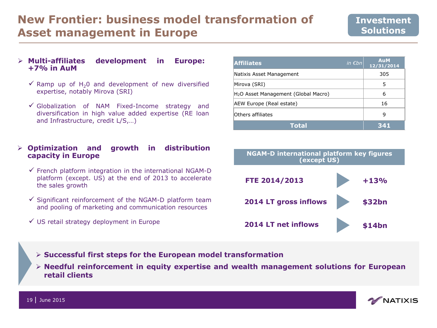#### **Multi-affiliates development in Europe: +7% in AuM**

- $\checkmark$  Ramp up of H<sub>2</sub>0 and development of new diversified expertise, notably Mirova (SRI)
- $\checkmark$  Globalization of NAM Fixed-Income strategy and diversification in high value added expertise (RE loan and Infrastructure, credit L/S,…)

#### **Optimization and growth in distribution capacity in Europe**

- $\checkmark$  French platform integration in the international NGAM-D platform (except. US) at the end of 2013 to accelerate the sales growth
- $\checkmark$  Significant reinforcement of the NGAM-D platform team and pooling of marketing and communication resources
- $\checkmark$  US retail strategy deployment in Europe

| <b>Affiliates</b><br>in $\not\in$ bn             | <b>AuM</b><br>12/31/2014 |
|--------------------------------------------------|--------------------------|
| Natixis Asset Management                         | 305                      |
| Mirova (SRI)                                     | 5                        |
| H <sub>2</sub> O Asset Management (Global Macro) | 6                        |
| AEW Europe (Real estate)                         | 16                       |
| lOthers affiliates                               | 9                        |
| Total                                            | 134 T                    |

![](_page_18_Figure_10.jpeg)

- **Successful first steps for the European model transformation**
- **Needful reinforcement in equity expertise and wealth management solutions for European retail clients**

![](_page_18_Picture_13.jpeg)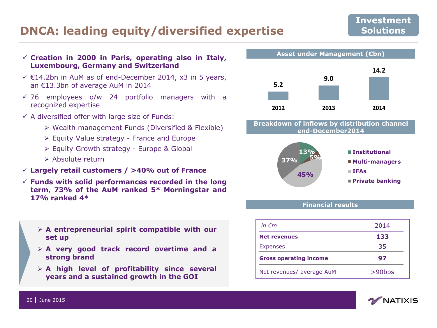### **DNCA: leading equity/diversified expertise**

#### **Creation in 2000 in Paris, operating also in Italy, Luxembourg, Germany and Switzerland**

- €14.2bn in AuM as of end-December 2014, x3 in 5 years, an €13.3bn of average AuM in 2014
- $\sqrt{76}$  employees o/w 24 portfolio managers with a recognized expertise
- $\checkmark$  A diversified offer with large size of Funds:
	- Wealth management Funds (Diversified & Flexible)
	- $\triangleright$  Equity Value strategy France and Europe
	- Equity Growth strategy Europe & Global
	- $\triangleright$  Absolute return
- **Largely retail customers / >40% out of France**
- **Funds with solid performances recorded in the long term, 73% of the AuM ranked 5\* Morningstar and 17% ranked 4\***
	- **A entrepreneurial spirit compatible with our set up**
	- **A very good track record overtime and a strong brand**
	- **A high level of profitability since several years and a sustained growth in the GOI**

![](_page_19_Figure_15.jpeg)

![](_page_19_Figure_16.jpeg)

#### **Breakdown of inflows by distribution channel end-December2014**

![](_page_19_Figure_18.jpeg)

#### **Financial results**

| in $\epsilon$ m               | 2014      |
|-------------------------------|-----------|
| <b>Net revenues</b>           | 133       |
| <b>Expenses</b>               | 35        |
| <b>Gross operating income</b> | 97        |
| Net revenues/ average AuM     | $>90$ bps |

![](_page_19_Picture_21.jpeg)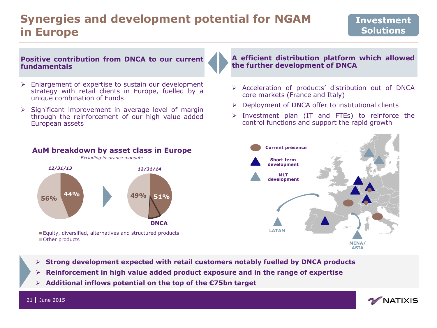### **Synergies and development potential for NGAM in Europe**

#### **Positive contribution from DNCA to our current fundamentals**

- $\triangleright$  Enlargement of expertise to sustain our development strategy with retail clients in Europe, fuelled by a unique combination of Funds
- $\triangleright$  Significant improvement in average level of margin through the reinforcement of our high value added European assets

**AuM breakdown by asset class in Europe** *Excluding insurance mandate*

Equity, diversified, alternatives and structured products

#### **A efficient distribution platform which allowed the further development of DNCA**

- $\triangleright$  Acceleration of products' distribution out of DNCA core markets (France and Italy)
- $\triangleright$  Deployment of DNCA offer to institutional clients
- $\triangleright$  Investment plan (IT and FTEs) to reinforce the control functions and support the rapid growth

![](_page_20_Figure_9.jpeg)

- **Strong development expected with retail customers notably fuelled by DNCA products**
- **Reinforcement in high value added product exposure and in the range of expertise**
- **Additional inflows potential on the top of the €75bn target**

**49% 51%**

**DNCA**

*12/31/14*

![](_page_20_Picture_13.jpeg)

**44% 56%**

*12/31/13*

Other products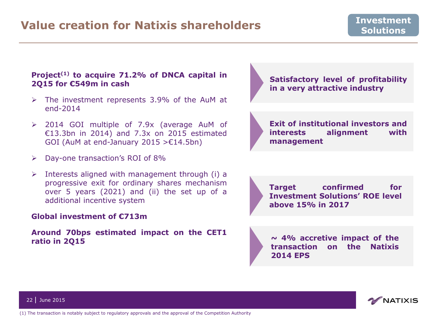#### **Project(1) to acquire 71.2% of DNCA capital in 2Q15 for €549m in cash**

- $\triangleright$  The investment represents 3.9% of the AuM at end-2014
- 2014 GOI multiple of 7.9x (average AuM of €13.3bn in 2014) and 7.3x on 2015 estimated GOI (AuM at end-January 2015 >  $E14.5$ bn)
- Day-one transaction's ROI of 8%
- $\triangleright$  Interests aligned with management through (i) a progressive exit for ordinary shares mechanism over 5 years (2021) and (ii) the set up of a additional incentive system

#### **Global investment of €713m**

**Around 70bps estimated impact on the CET1 ratio in 2Q15**

### **Satisfactory level of profitability in a very attractive industry**

**Exit of institutional investors and interests alignment with management**

**Target confirmed for Investment Solutions' ROE level above 15% in 2017**

**~ 4% accretive impact of the transaction on the Natixis 2014 EPS**

![](_page_21_Picture_13.jpeg)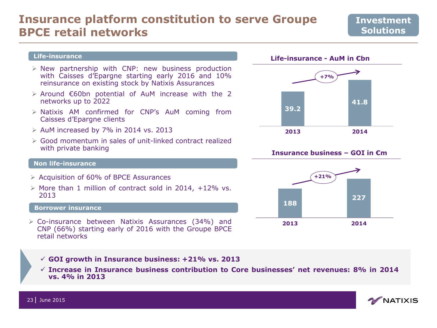### **Insurance platform constitution to serve Groupe BPCE retail networks**

#### **Life-insurance**

- $\triangleright$  New partnership with CNP: new business production with Caisses d'Epargne starting early 2016 and 10% reinsurance on existing stock by Natixis Assurances
- $\triangleright$  Around €60bn potential of AuM increase with the 2 networks up to 2022
- $\triangleright$  Natixis AM confirmed for CNP's AuM coming from Caisses d'Epargne clients
- $\triangleright$  AuM increased by 7% in 2014 vs. 2013
- $\triangleright$  Good momentum in sales of unit-linked contract realized with private banking

#### **Non life-insurance**

- $\geq$  Acquisition of 60% of BPCE Assurances
- $\triangleright$  More than 1 million of contract sold in 2014, +12% vs. 2013

#### **Borrower insurance**

 $\triangleright$  Co-insurance between Natixis Assurances (34%) and CNP (66%) starting early of 2016 with the Groupe BPCE retail networks

![](_page_22_Figure_13.jpeg)

**Life-insurance - AuM in €bn**

#### **Insurance business – GOI in €m**

![](_page_22_Figure_15.jpeg)

- **GOI growth in Insurance business: +21% vs. 2013**
- **Increase in Insurance business contribution to Core businesses' net revenues: 8% in 2014 vs. 4% in 2013**

![](_page_22_Picture_18.jpeg)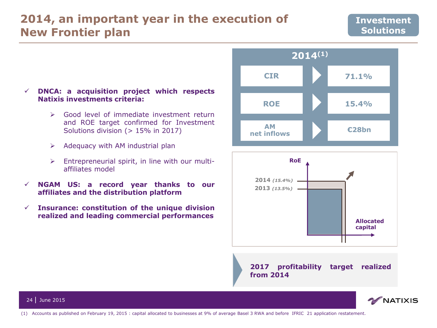### **2014, an important year in the execution of New Frontier plan**

### **Investment Solutions**

#### **DNCA: a acquisition project which respects Natixis investments criteria:**

- $\triangleright$  Good level of immediate investment return and ROE target confirmed for Investment Solutions division (> 15% in 2017)
- $\triangleright$  Adequacy with AM industrial plan
- $\triangleright$  Entrepreneurial spirit, in line with our multiaffiliates model
- **NGAM US: a record year thanks to our affiliates and the distribution platform**
- **Insurance: constitution of the unique division realized and leading commercial performances**

![](_page_23_Figure_8.jpeg)

![](_page_23_Figure_9.jpeg)

**2017 profitability target realized from 2014**

![](_page_23_Picture_11.jpeg)

24 June 2015

(1) Accounts as published on February 19, 2015 : capital allocated to businesses at 9% of average Basel 3 RWA and before IFRIC 21 application restatement.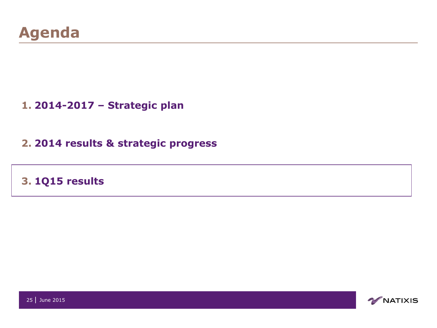### **1. 2014-2017 – Strategic plan**

**2. 2014 results & strategic progress**

**3. 1Q15 results**

![](_page_24_Picture_4.jpeg)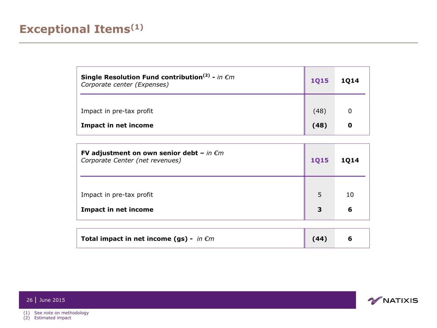| Single Resolution Fund contribution <sup>(2)</sup> - in $\epsilon$ m<br>Corporate center (Expenses) | <b>1015</b> | <b>1014</b> |
|-----------------------------------------------------------------------------------------------------|-------------|-------------|
| Impact in pre-tax profit                                                                            | (48)        |             |
| Impact in net income                                                                                | (48)        | 0           |

| FV adjustment on own senior debt - in $\epsilon m$<br>Corporate Center (net revenues) | <b>1Q15</b> | <b>1Q14</b> |
|---------------------------------------------------------------------------------------|-------------|-------------|
|                                                                                       |             |             |
| Impact in pre-tax profit                                                              | 5           | 10          |
| <b>Impact in net income</b>                                                           | 3           | 6           |
|                                                                                       |             |             |
| Total impact in net income (gs) - in $\epsilon m$                                     | (44)        | 6           |

![](_page_25_Picture_3.jpeg)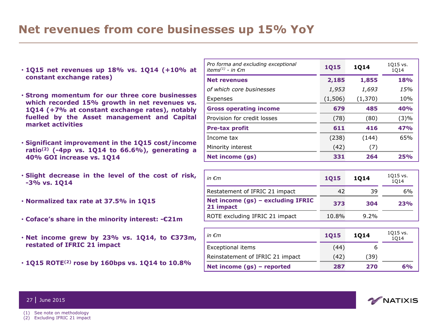### **Net revenues from core businesses up 15% YoY**

- **1Q15 net revenues up 18% vs. 1Q14 (+10% at constant exchange rates)**
- **Strong momentum for our three core businesses which recorded 15% growth in net revenues vs. 1Q14 (+7% at constant exchange rates), notably fuelled by the Asset management and Capital market activities**
- **Significant improvement in the 1Q15 cost/income ratio(2) (-4pp vs. 1Q14 to 66.6%), generating a 40% GOI increase vs. 1Q14**
- **Slight decrease in the level of the cost of risk, -3% vs. 1Q14**
- **Normalized tax rate at 37.5% in 1Q15**
- **Coface's share in the minority interest: -€21m**
- **Net income grew by 23% vs. 1Q14, to €373m, restated of IFRIC 21 impact**
- **1Q15 ROTE(2) rose by 160bps vs. 1Q14 to 10.8%**

| Pro forma and excluding exceptional<br>items <sup>(1)</sup> - in $\epsilon$ m | 1015    | 1014    | 1015 vs.<br>1014 |
|-------------------------------------------------------------------------------|---------|---------|------------------|
| <b>Net revenues</b>                                                           | 2,185   | 1,855   | <b>18%</b>       |
| of which core businesses                                                      | 1,953   | 1,693   | 15%              |
| Expenses                                                                      | (1,506) | (1,370) | 10%              |
| <b>Gross operating income</b>                                                 | 679     | 485     | 40%              |
| Provision for credit losses                                                   | (78)    | (80)    | (3)%             |
| <b>Pre-tax profit</b>                                                         | 611     | 416     | 47%              |
| Income tax                                                                    | (238)   | (144)   | 65%              |
| Minority interest                                                             | (42)    | (7)     |                  |
| Net income (qs)                                                               | 331     | 264     | 25%              |

| in $\epsilon$ m                                  | 1015  | 1014 | 1015 vs.<br>1014 |
|--------------------------------------------------|-------|------|------------------|
| Restatement of IFRIC 21 impact                   | 42    | 39   | 6%               |
| Net income $(gs)$ – excluding IFRIC<br>21 impact | 373   | 304  | 23%              |
| ROTE excluding IFRIC 21 impact                   | 10.8% | 9.2% |                  |

| in $\epsilon$ m                  | <b>1015</b> | 1014 | 1015 vs.<br>1014 |
|----------------------------------|-------------|------|------------------|
| Exceptional items                | (44)        | b    |                  |
| Reinstatement of IFRIC 21 impact | (42)        | (39) |                  |
| Net income $(gs)$ – reported     | 287         | 270  | 6%               |

![](_page_26_Picture_12.jpeg)

![](_page_26_Picture_13.jpeg)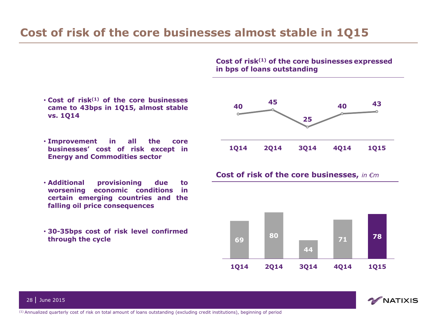### **Cost of risk of the core businesses almost stable in 1Q15**

**Cost of risk(1) of the core businesses expressed in bps of loans outstanding**

- **Cost of risk(1) of the core businesses came to 43bps in 1Q15, almost stable vs. 1Q14**
- **Improvement in all the core businesses' cost of risk except in Energy and Commodities sector**
- **Additional provisioning due to worsening economic conditions in certain emerging countries and the falling oil price consequences**
- **30-35bps cost of risk level confirmed through the cycle**

![](_page_27_Figure_6.jpeg)

#### **Cost of risk of the core businesses,** *in €m*

![](_page_27_Figure_8.jpeg)

![](_page_27_Picture_9.jpeg)

28 June 2015

(1) Annualized quarterly cost of risk on total amount of loans outstanding (excluding credit institutions), beginning of period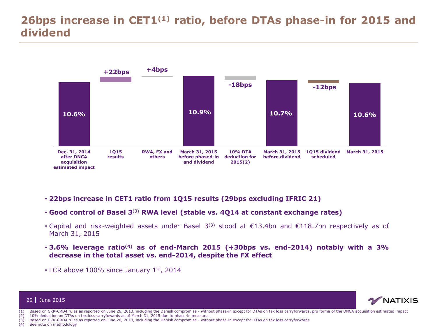### **26bps increase in CET1(1) ratio, before DTAs phase-in for 2015 and dividend**

![](_page_28_Figure_1.jpeg)

- **22bps increase in CET1 ratio from 1Q15 results (29bps excluding IFRIC 21)**
- **Good control of Basel 3**(3) **RWA level (stable vs. 4Q14 at constant exchange rates)**
- Capital and risk-weighted assets under Basel 3(3) stood at €13.4bn and €118.7bn respectively as of March 31, 2015
- **3.6% leverage ratio(4) as of end-March 2015 (+30bps vs. end-2014) notably with a 3% decrease in the total asset vs. end-2014, despite the FX effect**
- LCR above 100% since January 1st, 2014

![](_page_28_Picture_7.jpeg)

- 29 June 2015
- (1) Based on CRR-CRD4 rules as reported on June 26, 2013, including the Danish compromise without phase-in except for DTAs on tax loss carryforwards, pro forma of the DNCA acquisition estimated impact (2) 10% deduction on DTAs on tax loss carryfowards as of March 31, 2015 due to phase-in measures
- (3) Based on CRR-CRD4 rules as reported on June 26, 2013, including the Danish compromise without phase-in except for DTAs on tax loss carryforwards
- (4) See note on methodology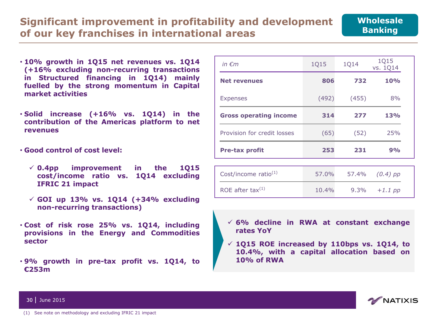### **Significant improvement in profitability and development of our key franchises in international areas**

- **10% growth in 1Q15 net revenues vs. 1Q14 (+16% excluding non-recurring transactions in Structured financing in 1Q14) mainly fuelled by the strong momentum in Capital market activities**
- **Solid increase (+16% vs. 1Q14) in the contribution of the Americas platform to net revenues**
- **Good control of cost level:**
	- **0.4pp improvement in the 1Q15 cost/income ratio vs. 1Q14 excluding IFRIC 21 impact**
	- **GOI up 13% vs. 1Q14 (+34% excluding non-recurring transactions)**
- **Cost of risk rose 25% vs. 1Q14, including provisions in the Energy and Commodities sector**
- **9% growth in pre-tax profit vs. 1Q14, to €253m**

| in $\epsilon$ m               | 1Q15  | 1Q14  | 1Q15<br>vs. 1Q14 |
|-------------------------------|-------|-------|------------------|
| <b>Net revenues</b>           | 806   | 732   | 10%              |
| <b>Expenses</b>               | (492) | (455) | 8%               |
| <b>Gross operating income</b> | 314   | 277   | <b>13%</b>       |
| Provision for credit losses   | (65)  | (52)  | 25%              |
| <b>Pre-tax profit</b>         | 253   | 231   | 9%               |

| Cost/income ratio $(1)$ | 57.0%    | 57.4% (0.4) pp   |  |
|-------------------------|----------|------------------|--|
| ROE after tax $(1)$     | $10.4\%$ | $9.3\% + 1.1$ pp |  |

- **6% decline in RWA at constant exchange rates YoY**
- **1Q15 ROE increased by 110bps vs. 1Q14, to 10.4%, with a capital allocation based on 10% of RWA**

![](_page_29_Picture_13.jpeg)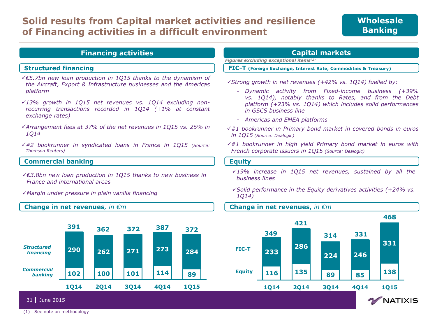### **Solid results from Capital market activities and resilience of Financing activities in a difficult environment**

#### **Financing activities Capital markets**

- *€5.7bn new loan production in 1Q15 thanks to the dynamism of the Aircraft, Export & Infrastructure businesses and the Americas platform*
- *13% growth in 1Q15 net revenues vs. 1Q14 excluding nonrecurring transactions recorded in 1Q14 (+1% at constant exchange rates)*
- *Arrangement fees at 37% of the net revenues in 1Q15 vs. 25% in 1Q14*
- *#2 bookrunner in syndicated loans in France in 1Q15 (Source: Thomson Reuters)*

#### **Commercial banking the set of the set of the set of the set of the set of the set of the set of the set of the set of the set of the set of the set of the set of the set of the set of the set of the set of the set of the**

- *€3.8bn new loan production in 1Q15 thanks to new business in France and international areas*
- *Margin under pressure in plain vanilla financing*

#### **Change in net revenues**, in €*m* **Change in net revenues,** in €*m*

![](_page_30_Figure_12.jpeg)

*Figures excluding exceptional items(1)*

**Structured financing FIC-T** (Foreign Exchange, Interest Rate, Commodities & Treasury)

*Strong growth in net revenues (+42% vs. 1Q14) fuelled by:*

- *Dynamic activity from Fixed-income business (+39% vs. 1Q14), notably thanks to Rates, and from the Debt platform (+23% vs. 1Q14) which includes solid performances in GSCS business line*
- *Americas and EMEA platforms*
- #*1 bookrunner in Primary bond market in covered bonds in euros in 1Q15 (Source: Dealogic)*
- #*1 bookrunner in high yield Primary bond market in euros with French corporate issuers in 1Q15 (Source: Dealogic)*

- *19% increase in 1Q15 net revenues, sustained by all the business lines*
- *Solid performance in the Equity derivatives activities (+24% vs. 1Q14)*

![](_page_30_Figure_25.jpeg)

(1) See note on methodology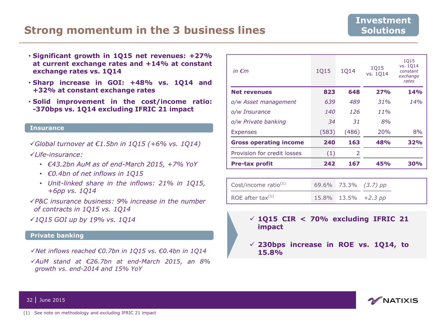### **Strong momentum in the 3 business lines**

- **Significant growth in 1Q15 net revenues: +27% at current exchange rates and +14% at constant exchange rates vs. 1Q14**
- **Sharp increase in GOI: +48% vs. 1Q14 and +32% at constant exchange rates**
- **Solid improvement in the cost/income ratio: -370bps vs. 1Q14 excluding IFRIC 21 impact**

#### **Insurance**

- *Global turnover at €1.5bn in 1Q15 (+6% vs. 1Q14)*
- *Life-insurance:*
	- *€43.2bn AuM as of end-March 2015, +7% YoY*
	- *€0.4bn of net inflows in 1Q15*
	- *Unit-linked share in the inflows: 21% in 1Q15, +6pp vs. 1Q14*
- *P&C insurance business: 9% increase in the number of contracts in 1Q15 vs. 1Q14*
- *1Q15 GOI up by 19% vs. 1Q14*

#### **Private banking**

- *Net inflows reached €0.7bn in 1Q15 vs. €0.4bn in 1Q14*
- *AuM stand at €26.7bn at end-March 2015, an 8% growth vs. end-2014 and 15% YoY*

| in $\epsilon$ m               | 1015  | 1014          | 1015<br>vs. 1014 | 1015<br>vs. 1014<br>constant<br>exchange<br>rates |
|-------------------------------|-------|---------------|------------------|---------------------------------------------------|
| <b>Net revenues</b>           | 823   | 648           | 27%              | 14%                                               |
| o/w Asset management          | 639   | 489           | .31%             | 14%                                               |
| o/w Insurance                 | 140   | 126           | 11%              |                                                   |
| o/w Private banking           | 34    | 31            | 8%               |                                                   |
| <b>Expenses</b>               | (583) | (486)         | 20%              | 8%                                                |
| <b>Gross operating income</b> | 240   | 163           | 48%              | 32%                                               |
| Provision for credit losses   | (1)   | $\mathcal{P}$ |                  |                                                   |
| <b>Pre-tax profit</b>         | 242   | 167           | 45%              | 30%                                               |

| Cost/income ratio $(1)$ | 69.6% 73.3% (3.7) pp        |  |
|-------------------------|-----------------------------|--|
| ROE after tax $(1)$     | $15.8\%$ $13.5\%$ $+2.3$ pp |  |

- **1Q15 CIR < 70% excluding IFRIC 21 impact**
- **230bps increase in ROE vs. 1Q14, to 15.8%**

![](_page_31_Picture_20.jpeg)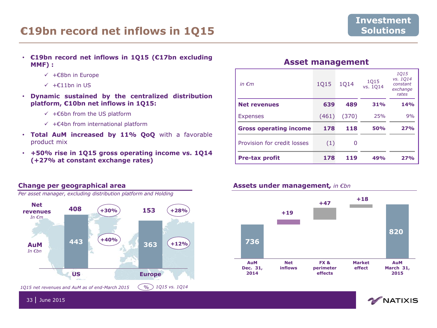### **€19bn record net inflows in 1Q15**

- **€19bn record net inflows in 1Q15 (€17bn excluding MMF) :**
	- +€8bn in Europe
	- $\checkmark$  +  $\in$  11bn in US
- **Dynamic sustained by the centralized distribution platform, €10bn net inflows in 1Q15:**
	- +€6bn from the US platform
	- +€4bn from international platform
- **Total AuM increased by 11% QoQ** with a favorable product mix
- **+50% rise in 1Q15 gross operating income vs. 1Q14 (+27% at constant exchange rates)**

### **Asset management**

| in $\epsilon$ m               | 1Q15  | 1Q14  | <b>1Q15</b><br>vs. 1014 | 1015<br>vs. 1014<br>constant<br>exchange<br>rates |
|-------------------------------|-------|-------|-------------------------|---------------------------------------------------|
| <b>Net revenues</b>           | 639   | 489   | 31%                     | <b>14%</b>                                        |
| <b>Expenses</b>               | (461) | (370) | 25%                     | 9%                                                |
| <b>Gross operating income</b> | 178   | 118   | <b>50%</b>              | 27%                                               |
| Provision for credit losses   | (1)   | O     |                         |                                                   |
| <b>Pre-tax profit</b>         | 178   | 119   | 49%                     | 27%                                               |

![](_page_32_Figure_12.jpeg)

#### **Assets under management***, in €bn*

![](_page_32_Figure_14.jpeg)

![](_page_32_Picture_15.jpeg)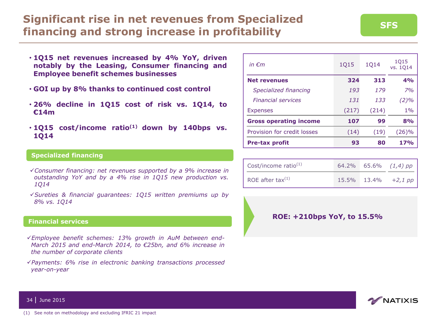### **Significant rise in net revenues from Specialized financing and strong increase in profitability SFS**

- **1Q15 net revenues increased by 4% YoY, driven notably by the Leasing, Consumer financing and Employee benefit schemes businesses**
- **GOI up by 8% thanks to continued cost control**
- **26% decline in 1Q15 cost of risk vs. 1Q14, to €14m**
- **1Q15 cost/income ratio(1) down by 140bps vs. 1Q14**

#### **Specialized financing**

- *Consumer financing: net revenues supported by a 9% increase in outstanding YoY and by a 4% rise in 1Q15 new production vs. 1Q14*
- *Sureties & financial guarantees: 1Q15 written premiums up by 8% vs. 1Q14*

#### **Financial services**

- *Employee benefit schemes: 13% growth in AuM between end-March 2015 and end-March 2014, to €25bn, and 6% increase in the number of corporate clients*
- *Payments: 6% rise in electronic banking transactions processed year-on-year*

| in $\epsilon$ m               | 1Q15  | 1014  | 1015<br>vs. 1014 |
|-------------------------------|-------|-------|------------------|
| <b>Net revenues</b>           | 324   | 313   | 4%               |
| Specialized financing         | 193   | 179   | 7%               |
| <b>Financial services</b>     | 131   | 133   | $(2)\%$          |
| <b>Expenses</b>               | (217) | (214) | $1\%$            |
| <b>Gross operating income</b> | 107   | 99    | 8%               |
| Provision for credit losses   | (14)  | (19)  | (26)%            |
| <b>Pre-tax profit</b>         | 93    | 80    | 17%              |

| Cost/income ratio $(1)$ |  | 64.2\% 65.6\% $(1,4)$ pp    |
|-------------------------|--|-----------------------------|
| ROE after tax $(1)$     |  | $15.5\%$ $13.4\%$ $+2.1$ pp |

#### **ROE: +210bps YoY, to 15.5%**

![](_page_33_Picture_15.jpeg)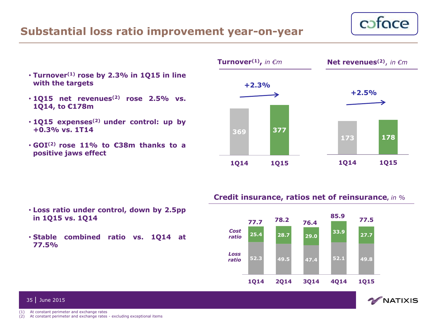### **Substantial loss ratio improvement year-on-year**

![](_page_34_Picture_1.jpeg)

**NATIXIS** 

• **Turnover(1) rose by 2.3% in 1Q15 in line with the targets**

- **1Q15 net revenues(2) rose 2.5% vs. 1Q14, to €178m**
- **1Q15 expenses(2) under control: up by +0.3% vs. 1T14**
- **GOI(2) rose 11% to €38m thanks to a positive jaws effect**

![](_page_34_Figure_6.jpeg)

#### **Credit insurance, ratios net of reinsurance,** *in %*

![](_page_34_Figure_8.jpeg)

#### • **Loss ratio under control, down by 2.5pp in 1Q15 vs. 1Q14**

• **Stable combined ratio vs. 1Q14 at 77.5%**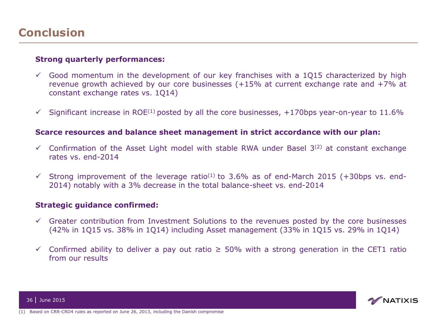#### **Strong quarterly performances:**

- $\checkmark$  Good momentum in the development of our key franchises with a 1015 characterized by high revenue growth achieved by our core businesses (+15% at current exchange rate and +7% at constant exchange rates vs. 1Q14)
- $\checkmark$  Significant increase in ROE<sup>(1)</sup> posted by all the core businesses, +170bps year-on-year to 11.6%

#### **Scarce resources and balance sheet management in strict accordance with our plan:**

- $\checkmark$  Confirmation of the Asset Light model with stable RWA under Basel 3<sup>(2)</sup> at constant exchange rates vs. end-2014
- $\checkmark$  Strong improvement of the leverage ratio<sup>(1)</sup> to 3.6% as of end-March 2015 (+30bps vs. end-2014) notably with a 3% decrease in the total balance-sheet vs. end-2014

#### **Strategic guidance confirmed:**

- $\checkmark$  Greater contribution from Investment Solutions to the revenues posted by the core businesses (42% in 1Q15 vs. 38% in 1Q14) including Asset management (33% in 1Q15 vs. 29% in 1Q14)
- $\checkmark$  Confirmed ability to deliver a pay out ratio  $\geq$  50% with a strong generation in the CET1 ratio from our results

![](_page_35_Picture_10.jpeg)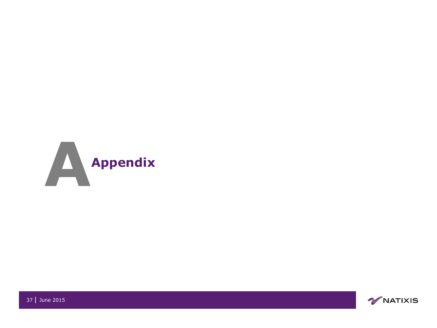![](_page_36_Picture_0.jpeg)

![](_page_36_Picture_1.jpeg)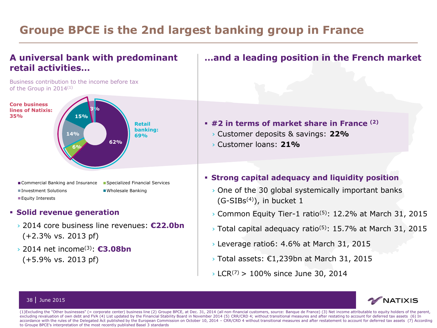### **Groupe BPCE is the 2nd largest banking group in France**

### **A universal bank with predominant retail activities…**

Business contribution to the income before tax of the Group in 2014(1)

![](_page_37_Figure_3.jpeg)

■ Commercial Banking and Insurance ■ Specialized Financial Services ■ Investment Solutions ■ Wholesale Banking **Equity Interests** 

### **Solid revenue generation**

- › 2014 core business line revenues: **€22.0bn** (+2.3% vs. 2013 pf)
- › 2014 net income(3): **€3.08bn** (+5.9% vs. 2013 pf)

### **…and a leading position in the French market**

- **#2 in terms of market share in France (2)** 
	- › Customer deposits & savings: **22%**
	-
- **Strong capital adequacy and liquidity position**
	- $\rightarrow$  One of the 30 global systemically important banks  $(G-SIBs<sup>(4)</sup>)$ , in bucket 1
	- $\rightarrow$  Common Equity Tier-1 ratio<sup>(5)</sup>: 12.2% at March 31, 2015
	- $\rightarrow$  Total capital adequacy ratio<sup>(5)</sup>: 15.7% at March 31, 2015
	- $\rightarrow$  Leverage ratio6: 4.6% at March 31, 2015
	- › Total assets: €1,239bn at March 31, 2015
	- $\triangleright$  LCR<sup>(7)</sup> > 100% since June 30, 2014

![](_page_37_Picture_19.jpeg)

38 June 2015

(1)Excluding the "Other businesses" (= corporate center) business line (2) Groupe BPCE, at Dec. 31, 2014 (all non-financial customers, source: Banque de France) (3) Net income attributable to equity holders of the parent, excluding revaluation of own debt and FVA (4) List updated by the Financial Stability Board in November 2014 (5) CRR/CRD 4; without transitional measures and after restating to account for deferred tax assets (6) In accordance with the rules of the Delegated Act published by the European Commission on October 10, 2014 – CRR/CRD 4 without transitional measures and after restatement to account for deferred tax assets (7) According to Groupe BPCE's interpretation of the most recently published Basel 3 standards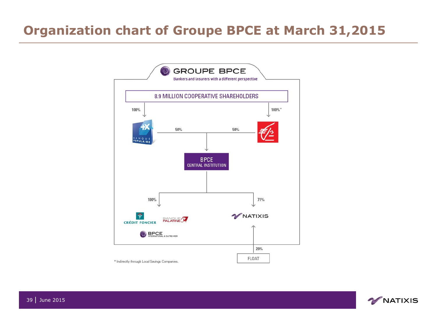## **Organization chart of Groupe BPCE at March 31,2015**

![](_page_38_Figure_1.jpeg)

![](_page_38_Picture_2.jpeg)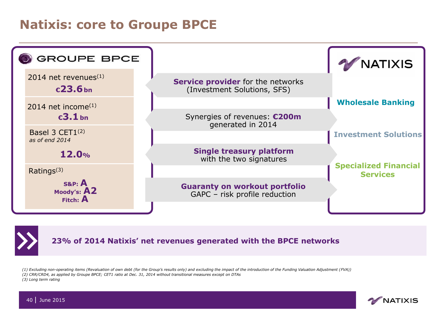### **Natixis: core to Groupe BPCE**

![](_page_39_Figure_1.jpeg)

![](_page_39_Picture_2.jpeg)

### **23% of 2014 Natixis' net revenues generated with the BPCE networks**

*(1) Excluding non-operating items (Revaluation of own debt (for the Group's results only) and excluding the impact of the introduction of the Funding Valuation Adjustment (FVA)) (2) CRR/CRD4, as applied by Groupe BPCE; CET1 ratio at Dec. 31, 2014 without transitional measures except on DTAs (3) Long term rating* 

![](_page_39_Picture_5.jpeg)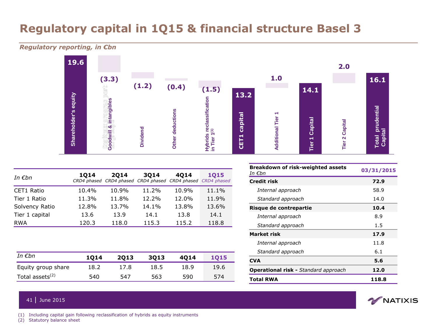### **Regulatory capital in 1Q15 & financial structure Basel 3**

#### *Regulatory reporting, in €bn*

![](_page_40_Figure_2.jpeg)

| In $\not\in b$ n | 1014  | 2014  | 3014<br>CRD4 phased CRD4 phased CRD4 phased CRD4 phased CRD4 phased | 4014  | 1015  |
|------------------|-------|-------|---------------------------------------------------------------------|-------|-------|
| CET1 Ratio       | 10.4% | 10.9% | 11.2%                                                               | 10.9% | 11.1% |
| Tier 1 Ratio     | 11.3% | 11.8% | 12.2%                                                               | 12.0% | 11.9% |
| Solvency Ratio   | 12.8% | 13.7% | 14.1%                                                               | 13.8% | 13.6% |
| Tier 1 capital   | 13.6  | 13.9  | 14.1                                                                | 13.8  | 14.1  |
| <b>RWA</b>       | 120.3 | 118.0 | 115.3                                                               | 115.2 | 118.8 |

| In €bn                      | 1014 | 2013 | 3013 | 4014 | <b>1015</b> |
|-----------------------------|------|------|------|------|-------------|
| Equity group share          | 18.2 | 17.8 | 18.5 | 18.9 | 19.6        |
| Total assets <sup>(2)</sup> | 540  | 547  | 563  | 590  | 574         |

| <b>Breakdown of risk-weighted assets</b><br>In €bn | 03/31/2015 |
|----------------------------------------------------|------------|
| Credit risk                                        | 72.9       |
| Internal approach                                  | 58.9       |
| Standard approach                                  | 14.0       |
| Risque de contrepartie                             | 10.4       |
| Internal approach                                  | 8.9        |
| Standard approach                                  | 1.5        |
| Market risk                                        | 17.9       |
| Internal approach                                  | 11.8       |
| Standard approach                                  | 6.1        |
| CVA                                                | 5.6        |
| <b>Operational risk - Standard approach</b>        | 12.0       |
| Total RWA                                          | 118.8      |

![](_page_40_Picture_6.jpeg)

![](_page_40_Picture_7.jpeg)

(1) Including capital gain following reclassification of hybrids as equity instruments

(2) Statutory balance sheet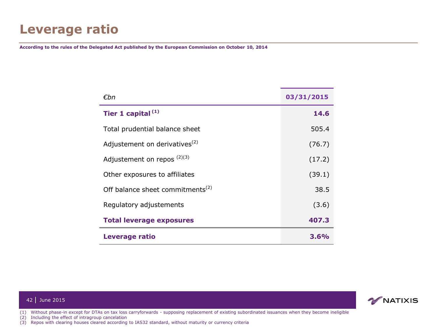## **Leverage ratio**

**According to the rules of the Delegated Act published by the European Commission on October 10, 2014**

| €bn                                          | 03/31/2015 |
|----------------------------------------------|------------|
| Tier 1 capital $(1)$                         | 14.6       |
| Total prudential balance sheet               | 505.4      |
| Adjustement on derivatives <sup>(2)</sup>    | (76.7)     |
| Adjustement on repos $(2)(3)$                | (17.2)     |
| Other exposures to affiliates                | (39.1)     |
| Off balance sheet commitments <sup>(2)</sup> | 38.5       |
| Regulatory adjustements                      | (3.6)      |
| <b>Total leverage exposures</b>              | 407.3      |
| <b>Leverage ratio</b>                        | 3.6%       |

![](_page_41_Picture_3.jpeg)

#### 42 June 2015

(1) Without phase-in except for DTAs on tax loss carryforwards - supposing replacement of existing subordinated issuances when they become ineligible

(2) Including the effect of intragroup cancelation

(3) Repos with clearing houses cleared according to IAS32 standard, without maturity or currency criteria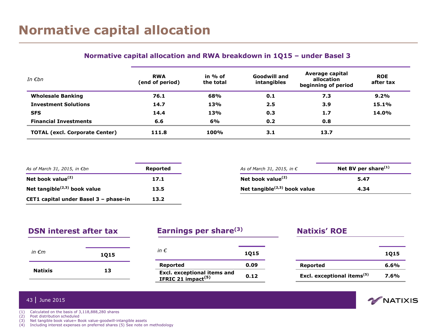## **Normative capital allocation**

| In $\epsilon$ bn                      | <b>RWA</b><br>(end of period) | in % of<br>the total | <b>Goodwill and</b><br>intangibles | Average capital<br>allocation<br>beginning of period | <b>ROE</b><br>after tax |
|---------------------------------------|-------------------------------|----------------------|------------------------------------|------------------------------------------------------|-------------------------|
| <b>Wholesale Banking</b>              | 76.1                          | 68%                  | 0.1                                | 7.3                                                  | 9.2%                    |
| <b>Investment Solutions</b>           | 14.7                          | 13%                  | 2.5                                | 3.9                                                  | 15.1%                   |
| <b>SFS</b>                            | 14.4                          | 13%                  | 0.3                                | 1.7                                                  | 14.0%                   |
| <b>Financial Investments</b>          | 6.6                           | 6%                   | 0.2                                | 0.8                                                  |                         |
| <b>TOTAL (excl. Corporate Center)</b> | 111.8                         | 100%                 | 3.1                                | 13.7                                                 |                         |

| Normative capital allocation and RWA breakdown in 1Q15 - under Basel 3 |  |  |  |  |  |  |  |
|------------------------------------------------------------------------|--|--|--|--|--|--|--|
|------------------------------------------------------------------------|--|--|--|--|--|--|--|

| As of March 31, 2015, in €bn          | Reported | As of March 31, 2015, in $\epsilon$ | Net BV per share $(1)$ |
|---------------------------------------|----------|-------------------------------------|------------------------|
| Net book value $(2)$                  | 17.1     | Net book value $(2)$                | 5.47                   |
| Net tangible $^{(2,3)}$ book value    | 13.5     | Net tangible $^{(2,3)}$ book value  | 4.34                   |
| CET1 capital under Basel 3 - phase-in | 13.2     |                                     |                        |

| 3.5                               | Net tangible $(2,3)$ book value | 4.34 |
|-----------------------------------|---------------------------------|------|
| 3.2                               |                                 |      |
|                                   |                                 |      |
|                                   |                                 |      |
| Earnings per share <sup>(3)</sup> | <b>Natixis' ROE</b>             |      |

| in $\epsilon$ m | <b>1Q15</b> |
|-----------------|-------------|
| <b>Natixis</b>  | 13          |

**DSN interest after tax**

| in $\epsilon$                                                        | <b>1Q15</b> |
|----------------------------------------------------------------------|-------------|
| <b>Reported</b>                                                      | 0.09        |
| <b>Excl. exceptional items and</b><br>IFRIC 21 impact <sup>(5)</sup> | 0.12        |

|                                        | <b>1Q15</b> |
|----------------------------------------|-------------|
| <b>Reported</b>                        | 6.6%        |
| Excl. exceptional items <sup>(5)</sup> | 7.6%        |

**MATIXIS** 

#### 43 June 2015

(1) Calculated on the basis of 3,118,888,280 shares

- (2) Post distribution scheduled
- (3) Net tangible book value= Book value-goodwill-intangible assets
- (4) Including interest expenses on preferred shares (5) See note on methodology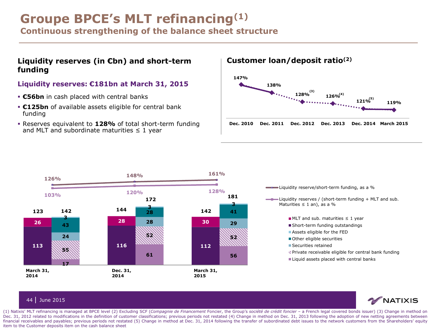## **Groupe BPCE's MLT refinancing(1)**

**Continuous strengthening of the balance sheet structure**

### **Customer loan/deposit ratio(2) Liquidity reserves (in €bn) and short-term funding**

#### **Liquidity reserves: €181bn at March 31, 2015**

- **€56bn** in cash placed with central banks
- **€125bn** of available assets eligible for central bank funding
- Reserves equivalent to **128%** of total short-term funding and MLT and subordinate maturities  $\leq 1$  year

![](_page_43_Figure_8.jpeg)

NATIXIS

![](_page_43_Figure_9.jpeg)

#### 44 June 2015

(1) Natixis' MLT refinancing is managed at BPCE level (2) Excluding SCF (Compagnie de Financement Foncier, the Group's société de crédit foncier - a French legal covered bonds issuer) (3) Change in method on Dec. 31, 2012 related to modifications in the definition of customer classifications; previous periods not restated (4) Change in method on Dec. 31, 2013 following the adoption of new netting agreements between financial receivables and payables; previous periods not restated (5) Change in method at Dec. 31, 2014 following the transfer of subordinated debt issues to the network customers from the Shareholders' equity item to the Customer deposits item on the cash balance sheet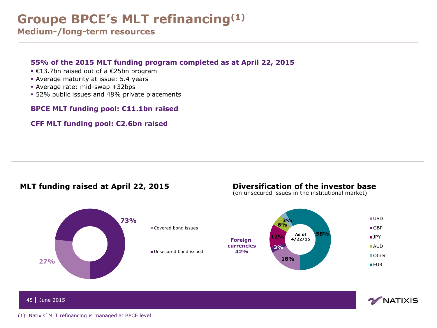## **Groupe BPCE's MLT refinancing(1)**

**Medium-/long-term resources**

#### **55% of the 2015 MLT funding program completed as at April 22, 2015**

- €13.7bn raised out of a €25bn program
- Average maturity at issue: 5.4 years
- Average rate: mid-swap +32bps
- 52% public issues and 48% private placements

#### **BPCE MLT funding pool: €11.1bn raised**

#### **CFF MLT funding pool: €2.6bn raised**

### **MLT funding raised at April 22, 2015 Diversification of the investor base**

### **27% 73%** Covered bond issues Unsecured bond issued **Foreign currencies 42%**

(on unsecured issues in the institutional market)

**3%**

![](_page_44_Picture_13.jpeg)

![](_page_44_Picture_15.jpeg)

USD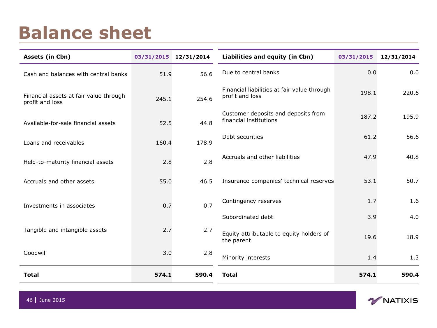# **Balance sheet**

| Assets (in €bn)                                           | 03/31/2015 12/31/2014 |       | Liabilities and equity (in $\varepsilon$ bn)                   | 03/31/2015 | 12/31/2014 |
|-----------------------------------------------------------|-----------------------|-------|----------------------------------------------------------------|------------|------------|
| Cash and balances with central banks                      | 51.9                  | 56.6  | Due to central banks                                           | 0.0        | 0.0        |
| Financial assets at fair value through<br>profit and loss | 245.1                 | 254.6 | Financial liabilities at fair value through<br>profit and loss |            | 220.6      |
| Available-for-sale financial assets                       | 52.5                  | 44.8  | Customer deposits and deposits from<br>financial institutions  | 187.2      | 195.9      |
| Loans and receivables                                     | 160.4                 | 178.9 | Debt securities                                                | 61.2       | 56.6       |
| Held-to-maturity financial assets                         | 2.8                   | 2.8   | Accruals and other liabilities                                 | 47.9       | 40.8       |
| Accruals and other assets                                 | 55.0                  | 46.5  | Insurance companies' technical reserves                        | 53.1       | 50.7       |
| Investments in associates                                 | 0.7                   | 0.7   | Contingency reserves                                           | 1.7        | 1.6        |
|                                                           |                       |       | Subordinated debt                                              | 3.9        | 4.0        |
| Tangible and intangible assets                            | 2.7                   | 2.7   | Equity attributable to equity holders of<br>the parent         | 19.6       | 18.9       |
| Goodwill                                                  | 3.0                   | 2.8   | Minority interests                                             | 1.4        | 1.3        |
| <b>Total</b>                                              | 574.1                 | 590.4 | <b>Total</b>                                                   | 574.1      | 590.4      |

![](_page_45_Picture_2.jpeg)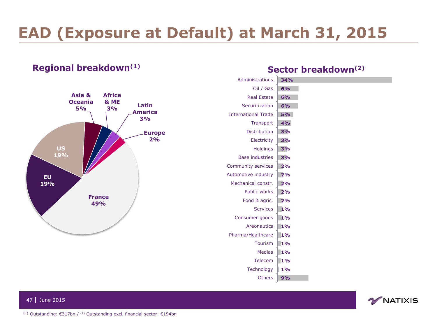# **EAD (Exposure at Default) at March 31, 2015**

### **Regional breakdown(1) Sector breakdown(2)**

![](_page_46_Figure_2.jpeg)

| Administrations            | 34%       |
|----------------------------|-----------|
| Oil / Gas                  | 6%        |
| <b>Real Estate</b>         | 6%        |
| Securitization             | 6%        |
| <b>International Trade</b> | <b>5%</b> |
| Transport                  | 4%        |
| <b>Distribution</b>        | 3%        |
| Electricity                | 3%        |
| <b>Holdings</b>            | 3%        |
| <b>Base industries</b>     | 3%        |
| Community services         | 2%        |
| Automotive industry        | 2%        |
| Mechanical constr.         | 2%        |
| Public works               | 2%        |
| Food & agric.              | 2%        |
| <b>Services</b>            | 1%        |
| Consumer goods             | 1%        |
| <b>Areonautics</b>         | 1%        |
| Pharma/Healthcare          | 1%        |
| <b>Tourism</b>             | 1%        |
| <b>Medias</b>              | $1\%$     |
| Telecom                    | 1%        |
| <b>Technology</b>          | 1%        |
| <b>Others</b>              | 9%        |

![](_page_46_Picture_5.jpeg)

![](_page_46_Picture_6.jpeg)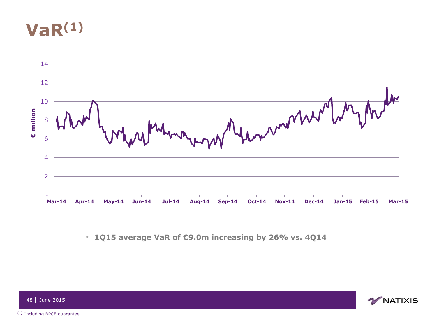![](_page_47_Picture_0.jpeg)

![](_page_47_Figure_1.jpeg)

• **1Q15 average VaR of €9.0m increasing by 26% vs. 4Q14**

![](_page_47_Picture_3.jpeg)